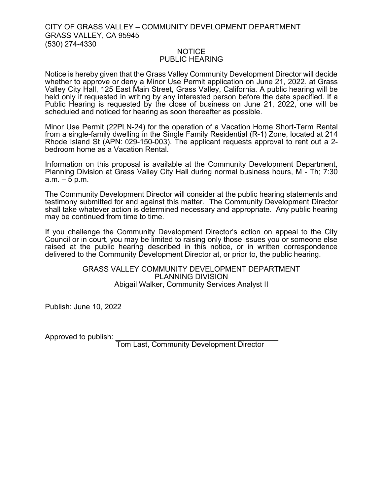## CITY OF GRASS VALLEY – COMMUNITY DEVELOPMENT DEPARTMENT GRASS VALLEY, CA 95945 (530) 274-4330

## NOTICE PUBLIC HEARING

Notice is hereby given that the Grass Valley Community Development Director will decide whether to approve or deny a Minor Use Permit application on June 21, 2022. at Grass Valley City Hall, 125 East Main Street, Grass Valley, California. A public hearing will be held only if requested in writing by any interested person before the date specified. If a Public Hearing is requested by the close of business on June 21, 2022, one will be scheduled and noticed for hearing as soon thereafter as possible.

Minor Use Permit (22PLN-24) for the operation of a Vacation Home Short-Term Rental from a single-family dwelling in the Single Family Residential (R-1) Zone, located at 214 Rhode Island St (APN: 029-150-003). The applicant requests approval to rent out a 2 bedroom home as a Vacation Rental.

Information on this proposal is available at the Community Development Department, Planning Division at Grass Valley City Hall during normal business hours, M - Th; 7:30  $a.m. - 5 p.m.$ 

The Community Development Director will consider at the public hearing statements and testimony submitted for and against this matter. The Community Development Director shall take whatever action is determined necessary and appropriate. Any public hearing may be continued from time to time.

If you challenge the Community Development Director's action on appeal to the City Council or in court, you may be limited to raising only those issues you or someone else raised at the public hearing described in this notice, or in written correspondence delivered to the Community Development Director at, or prior to, the public hearing.

## GRASS VALLEY COMMUNITY DEVELOPMENT DEPARTMENT PLANNING DIVISION Abigail Walker, Community Services Analyst II

Publish: June 10, 2022

Approved to publish:

Tom Last, Community Development Director